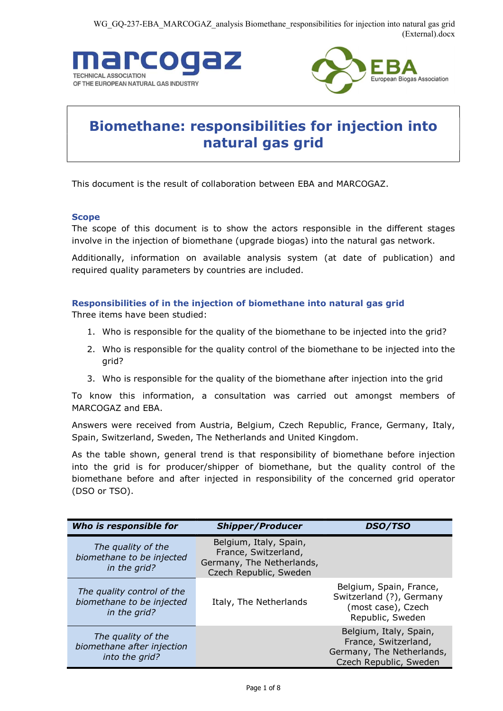



# Biomethane: responsibilities for injection into natural gas grid

This document is the result of collaboration between EBA and MARCOGAZ.

## Scope

The scope of this document is to show the actors responsible in the different stages involve in the injection of biomethane (upgrade biogas) into the natural gas network.

Additionally, information on available analysis system (at date of publication) and required quality parameters by countries are included.

# Responsibilities of in the injection of biomethane into natural gas grid

Three items have been studied:

- 1. Who is responsible for the quality of the biomethane to be injected into the grid?
- 2. Who is responsible for the quality control of the biomethane to be injected into the grid?
- 3. Who is responsible for the quality of the biomethane after injection into the grid

To know this information, a consultation was carried out amongst members of MARCOGAZ and EBA.

Answers were received from Austria, Belgium, Czech Republic, France, Germany, Italy, Spain, Switzerland, Sweden, The Netherlands and United Kingdom.

As the table shown, general trend is that responsibility of biomethane before injection into the grid is for producer/shipper of biomethane, but the quality control of the biomethane before and after injected in responsibility of the concerned grid operator (DSO or TSO).

| Who is responsible for                                                  | <b>Shipper/Producer</b>                                                                               | <b>DSO/TSO</b>                                                                                        |
|-------------------------------------------------------------------------|-------------------------------------------------------------------------------------------------------|-------------------------------------------------------------------------------------------------------|
| The quality of the<br>biomethane to be injected<br>in the grid?         | Belgium, Italy, Spain,<br>France, Switzerland,<br>Germany, The Netherlands,<br>Czech Republic, Sweden |                                                                                                       |
| The quality control of the<br>biomethane to be injected<br>in the grid? | Italy, The Netherlands                                                                                | Belgium, Spain, France,<br>Switzerland (?), Germany<br>(most case), Czech<br>Republic, Sweden         |
| The quality of the<br>biomethane after injection<br>into the grid?      |                                                                                                       | Belgium, Italy, Spain,<br>France, Switzerland,<br>Germany, The Netherlands,<br>Czech Republic, Sweden |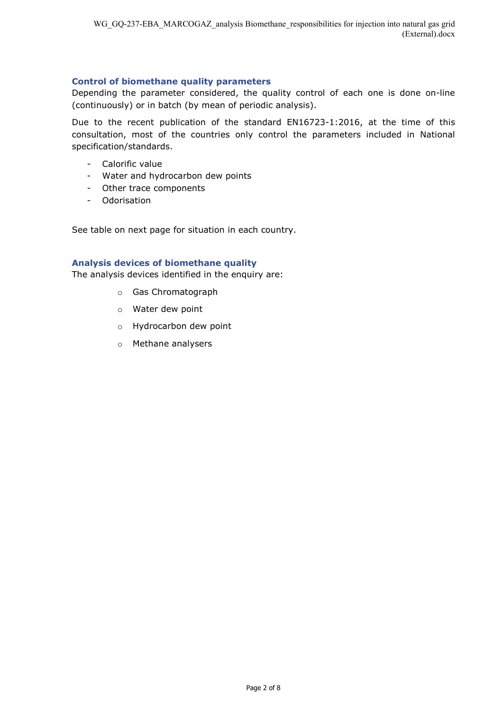#### Control of biomethane quality parameters

Depending the parameter considered, the quality control of each one is done on-line (continuously) or in batch (by mean of periodic analysis).

Due to the recent publication of the standard EN16723-1:2016, at the time of this consultation, most of the countries only control the parameters included in National specification/standards.

- Calorific value
- Water and hydrocarbon dew points
- Other trace components
- Odorisation

See table on next page for situation in each country.

## Analysis devices of biomethane quality

The analysis devices identified in the enquiry are:

- o Gas Chromatograph
- o Water dew point
- o Hydrocarbon dew point
- o Methane analysers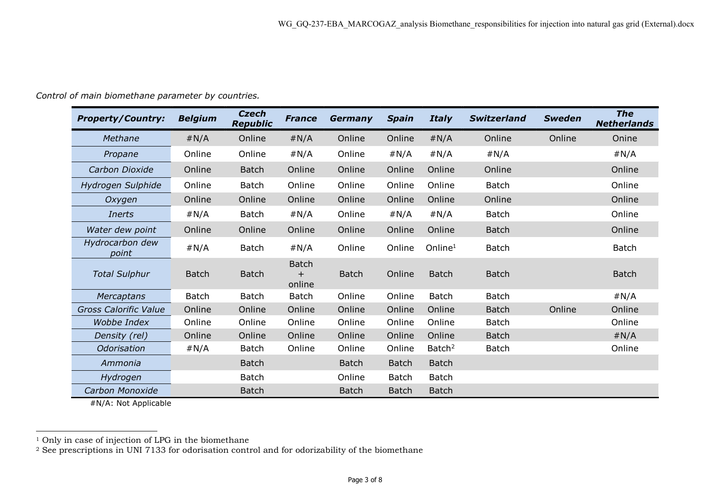Control of main biomethane parameter by countries.

| <b>Property/Country:</b>     | <b>Belgium</b> | <b>Czech</b><br><b>Republic</b> | <b>France</b>                       | Germany      | <b>Spain</b> | <b>Italy</b>        | <b>Switzerland</b> | <b>Sweden</b> | <b>The</b><br><b>Netherlands</b> |
|------------------------------|----------------|---------------------------------|-------------------------------------|--------------|--------------|---------------------|--------------------|---------------|----------------------------------|
| Methane                      | #N/A           | Online                          | #N/A                                | Online       | Online       | #N/A                | Online             | Online        | Onine                            |
| Propane                      | Online         | Online                          | #N/A                                | Online       | #N/A         | #N/A                | #N/A               |               | #N/A                             |
| Carbon Dioxide               | Online         | <b>Batch</b>                    | Online                              | Online       | Online       | Online              | Online             |               | Online                           |
| Hydrogen Sulphide            | Online         | Batch                           | Online                              | Online       | Online       | Online              | <b>Batch</b>       |               | Online                           |
| Oxygen                       | Online         | Online                          | Online                              | Online       | Online       | Online              | Online             |               | Online                           |
| <b>Inerts</b>                | #N/A           | <b>Batch</b>                    | #N/A                                | Online       | #N/A         | #N/A                | <b>Batch</b>       |               | Online                           |
| Water dew point              | Online         | Online                          | Online                              | Online       | Online       | Online              | <b>Batch</b>       |               | Online                           |
| Hydrocarbon dew<br>point     | #N/A           | <b>Batch</b>                    | #N/A                                | Online       | Online       | Online <sup>1</sup> | <b>Batch</b>       |               | <b>Batch</b>                     |
| <b>Total Sulphur</b>         | <b>Batch</b>   | <b>Batch</b>                    | <b>Batch</b><br>$\ddot{}$<br>online | <b>Batch</b> | Online       | <b>Batch</b>        | <b>Batch</b>       |               | <b>Batch</b>                     |
| Mercaptans                   | <b>Batch</b>   | <b>Batch</b>                    | <b>Batch</b>                        | Online       | Online       | <b>Batch</b>        | <b>Batch</b>       |               | #N/A                             |
| <b>Gross Calorific Value</b> | Online         | Online                          | Online                              | Online       | Online       | Online              | <b>Batch</b>       | Online        | Online                           |
| Wobbe Index                  | Online         | Online                          | Online                              | Online       | Online       | Online              | <b>Batch</b>       |               | Online                           |
| Density (rel)                | Online         | Online                          | Online                              | Online       | Online       | Online              | <b>Batch</b>       |               | #N/A                             |
| Odorisation                  | #N/A           | Batch                           | Online                              | Online       | Online       | Batch <sup>2</sup>  | <b>Batch</b>       |               | Online                           |
| Ammonia                      |                | <b>Batch</b>                    |                                     | <b>Batch</b> | <b>Batch</b> | <b>Batch</b>        |                    |               |                                  |
| Hydrogen                     |                | <b>Batch</b>                    |                                     | Online       | <b>Batch</b> | <b>Batch</b>        |                    |               |                                  |
| Carbon Monoxide              |                | <b>Batch</b>                    |                                     | <b>Batch</b> | <b>Batch</b> | <b>Batch</b>        |                    |               |                                  |

#N/A: Not Applicable

 $\overline{a}$ 

<sup>1</sup> Only in case of injection of LPG in the biomethane

 $2$  See prescriptions in UNI 7133 for odorisation control and for odorizability of the biomethane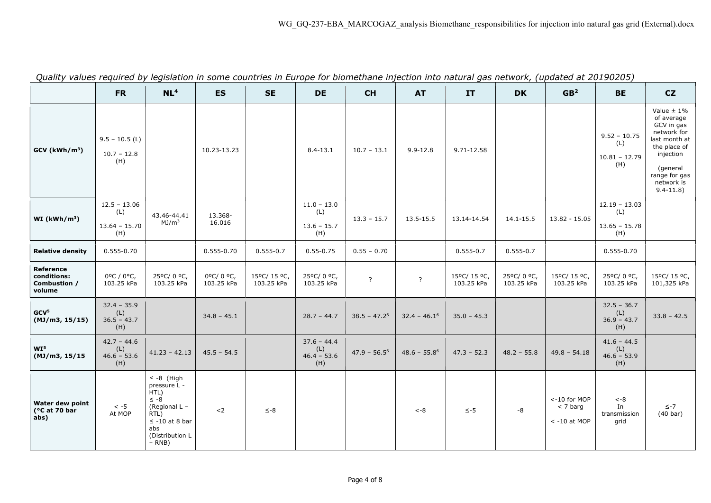| gaant, valacs regained by legislation in some      | <b>FR</b>                                       | NL <sup>4</sup>                                                                                                                            | <b>ES</b>              | countries in Earope for Biomethane impection into natural gas network, (apaated at 20150205<br><b>SE</b> | <b>DE</b>                                    | <b>CH</b>      | <b>AT</b>       | <b>IT</b>                  | <b>DK</b>               | GB <sup>2</sup>                              | <b>BE</b>                                        | CZ                                                                                                                                                                 |
|----------------------------------------------------|-------------------------------------------------|--------------------------------------------------------------------------------------------------------------------------------------------|------------------------|----------------------------------------------------------------------------------------------------------|----------------------------------------------|----------------|-----------------|----------------------------|-------------------------|----------------------------------------------|--------------------------------------------------|--------------------------------------------------------------------------------------------------------------------------------------------------------------------|
| $GCV$ (kWh/m <sup>3</sup> )                        | $9.5 - 10.5$ (L)<br>$10.7 - 12.8$<br>(H)        |                                                                                                                                            | 10.23-13.23            |                                                                                                          | $8.4 - 13.1$                                 | $10.7 - 13.1$  | $9.9 - 12.8$    | 9.71-12.58                 |                         |                                              | $9.52 - 10.75$<br>(L)<br>$10.81 - 12.79$<br>(H)  | Value $\pm$ 1%<br>of average<br>GCV in gas<br>network for<br>last month at<br>the place of<br>injection<br>(general<br>range for gas<br>network is<br>$9.4 - 11.8$ |
| WI (kWh/m <sup>3</sup> )                           | $12.5 - 13.06$<br>(L)<br>$13.64 - 15.70$<br>(H) | 43.46-44.41<br>MJ/m <sup>3</sup>                                                                                                           | 13.368-<br>16.016      |                                                                                                          | $11.0 - 13.0$<br>(L)<br>$13.6 - 15.7$<br>(H) | $13.3 - 15.7$  | 13.5-15.5       | 13.14-14.54                | $14.1 - 15.5$           | $13.82 - 15.05$                              | $12.19 - 13.03$<br>(L)<br>$13.65 - 15.78$<br>(H) |                                                                                                                                                                    |
| <b>Relative density</b>                            | $0.555 - 0.70$                                  |                                                                                                                                            | $0.555 - 0.70$         | $0.555 - 0.7$                                                                                            | $0.55 - 0.75$                                | $0.55 - 0.70$  |                 | $0.555 - 0.7$              | $0.555 - 0.7$           |                                              | $0.555 - 0.70$                                   |                                                                                                                                                                    |
| Reference<br>conditions:<br>Combustion /<br>volume | 0°C / 0°C,<br>103.25 kPa                        | 25°C/0°C,<br>103.25 kPa                                                                                                                    | 0°C/0°C,<br>103.25 kPa | 15°C/ 15 °C,<br>103.25 kPa                                                                               | 25°C/0°C,<br>103.25 kPa                      | $\overline{?}$ | $\cdot$         | 15°C/ 15 °C,<br>103.25 kPa | 25°C/0°C,<br>103.25 kPa | 15°C/ 15 °C,<br>103.25 kPa                   | 25°C/0°C,<br>103.25 kPa                          | 15°C/ 15 °C,<br>101,325 kPa                                                                                                                                        |
| GCV <sup>5</sup><br>(MJ/m3, 15/15)                 | $32.4 - 35.9$<br>(L)<br>$36.5 - 43.7$<br>(H)    |                                                                                                                                            | $34.8 - 45.1$          |                                                                                                          | $28.7 - 44.7$                                | $38.5 - 47.26$ | $32.4 - 46.16$  | $35.0 - 45.3$              |                         |                                              | $32.5 - 36.7$<br>(L)<br>$36.9 - 43.7$<br>(H)     | $33.8 - 42.5$                                                                                                                                                      |
| WI <sup>5</sup><br>(MJ/m3, 15/15                   | $42.7 - 44.6$<br>(L)<br>$46.6 - 53.6$<br>(H)    | $41.23 - 42.13$                                                                                                                            | $45.5 - 54.5$          |                                                                                                          | $37.6 - 44.4$<br>(L)<br>$46.4 - 53.6$<br>(H) | $47.9 - 56.56$ | $48.6 - 55.8^6$ | $47.3 - 52.3$              | $48.2 - 55.8$           | $49.8 - 54.18$                               | $41.6 - 44.5$<br>(L)<br>$46.6 - 53.9$<br>(H)     |                                                                                                                                                                    |
| Water dew point<br>(°C at 70 bar<br>abs)           | $< -5$<br>At MOP                                | $\leq$ -8 (High<br>pressure L -<br>HTL)<br>$\leq -8$<br>(Regional L -<br>RTL)<br>$\leq$ -10 at 8 bar<br>abs<br>(Distribution L<br>$- RNB)$ | $2$                    | $\le -8$                                                                                                 |                                              |                | $< -8$          | $\le -5$                   | -8                      | <-10 for MOP<br>$<$ 7 barg<br>$< -10$ at MOP | $< -8$<br>In<br>transmission<br>grid             | $\le -7$<br>$(40 \text{ bar})$                                                                                                                                     |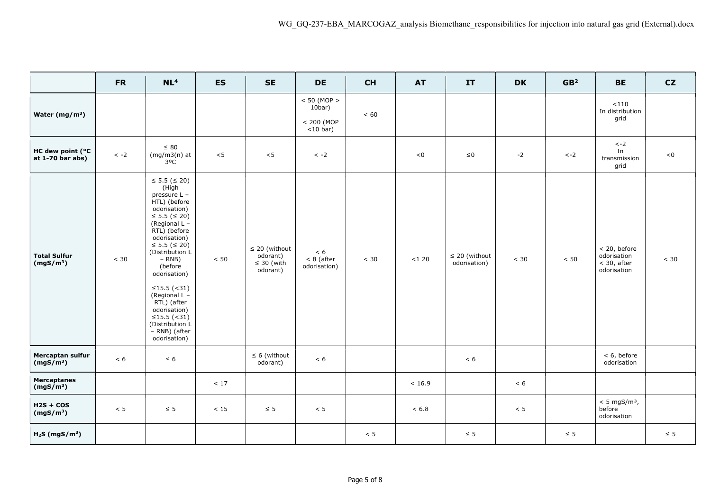|                                              | <b>FR</b>  | NL <sup>4</sup>                                                                                                                                                                                                                                                                                                                                                                        | <b>ES</b> | <b>SE</b>                                                     | <b>DE</b>                                                   | <b>CH</b> | <b>AT</b> | IT                                 | <b>DK</b> | GB <sup>2</sup> | <b>BE</b>                                                   | CZ       |
|----------------------------------------------|------------|----------------------------------------------------------------------------------------------------------------------------------------------------------------------------------------------------------------------------------------------------------------------------------------------------------------------------------------------------------------------------------------|-----------|---------------------------------------------------------------|-------------------------------------------------------------|-----------|-----------|------------------------------------|-----------|-----------------|-------------------------------------------------------------|----------|
| Water $(mg/m^3)$                             |            |                                                                                                                                                                                                                                                                                                                                                                                        |           |                                                               | $< 50$ (MOP $>$<br>$10bar$ )<br>$< 200$ (MOP<br>$<$ 10 bar) | < 60      |           |                                    |           |                 | $<\!110$<br>In distribution<br>grid                         |          |
| HC dew point (°C<br>at $1-70$ bar abs)       | $\,<\,$ -2 | $\leq 80$<br>$(mg/m3(n)$ at<br>$3^0C$                                                                                                                                                                                                                                                                                                                                                  | < 5       | < 5                                                           | $\langle -2 \rangle$                                        |           | < 0       | ${\leq}0$                          | $-2$      | $\leftarrow$ 2  | $\leftarrow$ 2<br>In<br>transmission<br>grid                | < 0      |
| <b>Total Sulfur</b><br>(mgS/m <sup>3</sup> ) | < 30       | $\leq$ 5.5 ( $\leq$ 20)<br>(High<br>pressure L -<br>HTL) (before<br>odorisation)<br>≤ 5.5 ( $\leq$ 20)<br>(Regional L -<br>RTL) (before<br>odorisation)<br>$\leq$ 5.5 ( $\leq$ 20)<br>(Distribution L<br>$- RNB)$<br>(before<br>odorisation)<br>≤15.5 $($ < 31)<br>(Regional L -<br>RTL) (after<br>odorisation)<br>≤15.5 $($ < 31)<br>(Distribution L<br>- RNB) (after<br>odorisation) | < 50      | $\leq$ 20 (without<br>odorant)<br>$\leq 30$ (with<br>odorant) | < 6<br>$< 8$ (after<br>odorisation)                         | < 30      | $<120$    | $\leq$ 20 (without<br>odorisation) | < 30      | < 50            | < 20, before<br>odorisation<br>$<$ 30, after<br>odorisation | < 30     |
| Mercaptan sulfur<br>(mgS/m <sup>3</sup> )    | < 6        | $\leq 6$                                                                                                                                                                                                                                                                                                                                                                               |           | $\leq 6$ (without<br>odorant)                                 | < 6                                                         |           |           | < 6                                |           |                 | < 6, before<br>odorisation                                  |          |
| <b>Mercaptanes</b><br>(mgS/m <sup>3</sup> )  |            |                                                                                                                                                                                                                                                                                                                                                                                        | $<17\,$   |                                                               |                                                             |           | < 16.9    |                                    | < 6       |                 |                                                             |          |
| $H2S + COS$<br>(mgS/m <sup>3</sup> )         | $< 5$      | $\leq 5$                                                                                                                                                                                                                                                                                                                                                                               | $<15\,$   | $\leq 5$                                                      | < 5                                                         |           | < 6.8     |                                    | < 5       |                 | $< 5$ mgS/m <sup>3</sup> ,<br>before<br>odorisation         |          |
| $H2S$ (mgS/m <sup>3</sup> )                  |            |                                                                                                                                                                                                                                                                                                                                                                                        |           |                                                               |                                                             | < 5       |           | $\leq 5$                           |           | $\leq 5$        |                                                             | $\leq 5$ |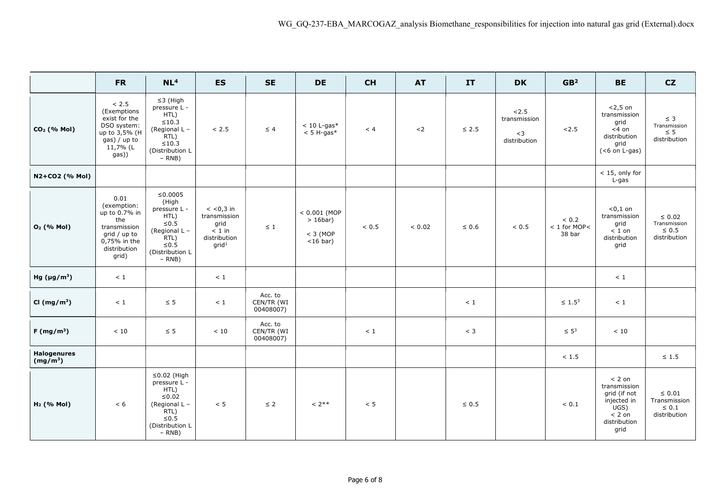|                                  | <b>FR</b>                                                                                                            | NL <sup>4</sup>                                                                                                                           | <b>ES</b>                                                                            | <b>SE</b>                          | <b>DE</b>                                                  | <b>CH</b> | <b>AT</b>  | IT         | <b>DK</b>                                     | GB <sup>2</sup>                          | <b>BE</b>                                                                                           | CZ                                                        |
|----------------------------------|----------------------------------------------------------------------------------------------------------------------|-------------------------------------------------------------------------------------------------------------------------------------------|--------------------------------------------------------------------------------------|------------------------------------|------------------------------------------------------------|-----------|------------|------------|-----------------------------------------------|------------------------------------------|-----------------------------------------------------------------------------------------------------|-----------------------------------------------------------|
| CO <sub>2</sub> (% Mol)          | < 2.5<br>(Exemptions<br>exist for the<br>DSO system:<br>up to 3,5% (H<br>gas) / up to<br>11,7% (L<br>gas))           | $\leq$ 3 (High<br>pressure L -<br>HTL)<br>$\leq 10.3$<br>(Regional L -<br>RTL)<br>${\leq}10.3$<br>(Distribution L<br>$- RNB)$             | < 2.5                                                                                | $\leq 4$                           | $< 10$ L-gas*<br>$< 5$ H-gas*                              | < 4       | $2$        | $\leq 2.5$ | 2.5<br>transmission<br>${<}3$<br>distribution | 2.5                                      | $<$ 2,5 on<br>transmission<br>grid<br>$<$ 4 on<br>distribution<br>grid<br>$(6$ on L-gas)            | $\leq$ 3<br>Transmission<br>$\leq 5$<br>distribution      |
| N2+CO2 (% Mol)                   |                                                                                                                      |                                                                                                                                           |                                                                                      |                                    |                                                            |           |            |            |                                               |                                          | $<$ 15, only for<br>L-gas                                                                           |                                                           |
| O <sub>2</sub> (% Mol)           | 0.01<br>(exemption:<br>up to 0.7% in<br>the<br>transmission<br>grid / up to<br>0,75% in the<br>distribution<br>grid) | ≤0.0005<br>(High<br>pressure L -<br>HTL)<br>${\leq}0.5$<br>(Regional L -<br>$\mathsf{RTL})$<br>${\leq}0.5$<br>(Distribution L<br>$- RNB)$ | $<$ <0,3 in<br>transmission<br>grid<br>$< 1$ in<br>distribution<br>grid <sup>1</sup> | $\leq$ 1                           | $< 0.001$ (MOP<br>$> 16$ bar)<br>$<$ 3 (MOP<br>$<$ 16 bar) | ~< 0.5    | ${}< 0.02$ | $\leq 0.6$ | $< 0.5$                                       | ${}< 0.2$<br>$< 1$ for MOP $<$<br>38 bar | $0,1$ on<br>transmission<br>grid<br>$< 1$ on<br>distribution<br>grid                                | $\leq 0.02$<br>Transmission<br>$\leq 0.5$<br>distribution |
| Hg $(\mu g/m^3)$                 | $\,<\,1$                                                                                                             |                                                                                                                                           | $<1\,$                                                                               |                                    |                                                            |           |            |            |                                               |                                          | $\leq 1$                                                                                            |                                                           |
| CI ( $mg/m^3$ )                  | < 1                                                                                                                  | $\leq 5$                                                                                                                                  | $<1\,$                                                                               | Acc. to<br>CEN/TR (WI<br>00408007) |                                                            |           |            | < 1        |                                               | $\leq 1.5^3$                             | < 1                                                                                                 |                                                           |
| $F(mg/m^3)$                      | $<10\,$                                                                                                              | $\leq 5$                                                                                                                                  | < 10                                                                                 | Acc. to<br>CEN/TR (WI<br>00408007) |                                                            | < 1       |            | $<$ 3      |                                               | $\leq 5^3$                               | $<10$                                                                                               |                                                           |
| <b>Halogenures</b><br>$(mg/m^3)$ |                                                                                                                      |                                                                                                                                           |                                                                                      |                                    |                                                            |           |            |            |                                               | $<1.5$                                   |                                                                                                     | $\leq 1.5$                                                |
| H <sub>2</sub> (% Mol)           | < 6                                                                                                                  | $\leq$ 0.02 (High<br>pressure L -<br>HTL)<br>$≤0.02$<br>(Regional L -<br>RTL)<br>$≤ 0.5$<br>(Distribution L<br>$- RNB)$                   | $< 5$                                                                                | $\leq 2$                           | $< 2***$                                                   | $< 5$     |            | $\leq 0.5$ |                                               | ${}< 0.1$                                | $< 2$ on<br>transmission<br>grid (if not<br>injected in<br>UGS)<br>$< 2$ on<br>distribution<br>grid | $\leq 0.01$<br>Transmission<br>$\leq 0.1$<br>distribution |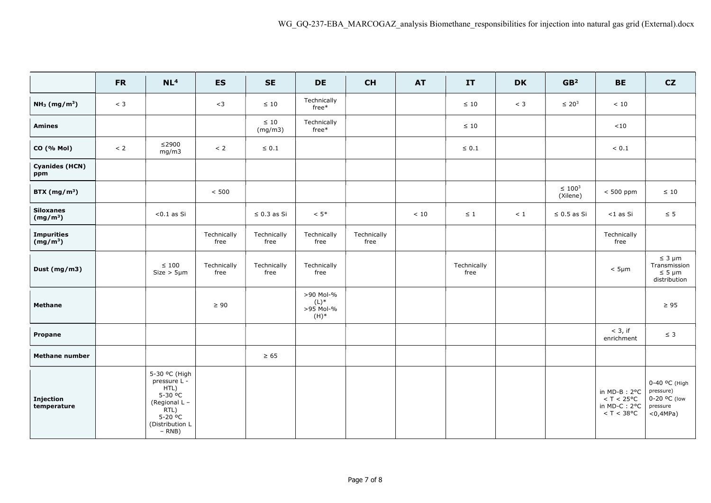|                                      | <b>FR</b> | NL <sup>4</sup>                                                                                                                               | <b>ES</b>           | <b>SE</b>            | <b>DE</b>                                | CH                  | <b>AT</b> | IT                  | <b>DK</b> | GB <sup>2</sup>          | <b>BE</b>                                                             | CZ                                                                    |
|--------------------------------------|-----------|-----------------------------------------------------------------------------------------------------------------------------------------------|---------------------|----------------------|------------------------------------------|---------------------|-----------|---------------------|-----------|--------------------------|-----------------------------------------------------------------------|-----------------------------------------------------------------------|
| NH <sub>3</sub> (mg/m <sup>3</sup> ) | $<$ 3     |                                                                                                                                               | $<$ 3               | $\leq 10$            | Technically<br>$free*$                   |                     |           | $\leq 10$           | $<$ 3     | $\leq 20^3$              | < 10                                                                  |                                                                       |
| <b>Amines</b>                        |           |                                                                                                                                               |                     | $\leq 10$<br>(mg/m3) | Technically<br>$free*$                   |                     |           | $\leq 10$           |           |                          | ${<}10$                                                               |                                                                       |
| CO (% Mol)                           | $< 2$     | $≤2900$<br>mg/m3                                                                                                                              | $< 2$               | $\leq 0.1$           |                                          |                     |           | $\leq 0.1$          |           |                          | $< 0.1\,$                                                             |                                                                       |
| <b>Cyanides (HCN)</b><br>ppm         |           |                                                                                                                                               |                     |                      |                                          |                     |           |                     |           |                          |                                                                       |                                                                       |
| BTX $(mg/m^3)$                       |           |                                                                                                                                               | < 500               |                      |                                          |                     |           |                     |           | $\leq 100^3$<br>(Xilene) | $< 500$ ppm                                                           | $\leq 10$                                                             |
| <b>Siloxanes</b><br>$(mg/m^3)$       |           | $< 0.1$ as Si                                                                                                                                 |                     | $\leq$ 0.3 as Si     | $< 5$ *                                  |                     | < 10      | $\leq 1$            | < 1       | $\leq 0.5$ as Si         | $<$ 1 as Si                                                           | $\leq$ 5                                                              |
| <b>Impurities</b><br>$(mg/m^3)$      |           |                                                                                                                                               | Technically<br>free | Technically<br>free  | Technically<br>free                      | Technically<br>free |           |                     |           |                          | Technically<br>free                                                   |                                                                       |
| Dust $(mg/m3)$                       |           | $\leq 100$<br>$Size > 5 \mu m$                                                                                                                | Technically<br>free | Technically<br>free  | Technically<br>free                      |                     |           | Technically<br>free |           |                          | $< 5 \mu m$                                                           | $\leq 3 \mu m$<br>Transmission<br>$\leq 5 \mu m$<br>distribution      |
| <b>Methane</b>                       |           |                                                                                                                                               | $\geq 90$           |                      | >90 Mol-%<br>(L)<br>>95 Mol-%<br>$(H)^*$ |                     |           |                     |           |                          |                                                                       | $\geq 95$                                                             |
| Propane                              |           |                                                                                                                                               |                     |                      |                                          |                     |           |                     |           |                          | $<$ 3, if<br>enrichment                                               | $\leq 3$                                                              |
| <b>Methane number</b>                |           |                                                                                                                                               |                     | $\geq 65$            |                                          |                     |           |                     |           |                          |                                                                       |                                                                       |
| Injection<br>temperature             |           | 5-30 °C (High<br>pressure L -<br>HTL)<br>5-30 °C<br>(Regional L -<br>$\overline{RTL}$<br>$5-20$ <sup>o</sup> C<br>(Distribution L<br>$- RNB)$ |                     |                      |                                          |                     |           |                     |           |                          | in $MD-B$ : $2°C$<br>$<$ T $<$ 25°C<br>in MD-C: 2°C<br>$<$ T $<$ 38°C | 0-40 °C (High<br>pressure)<br>0-20 °C (low<br>pressure<br>$<$ 0,4MPa) |